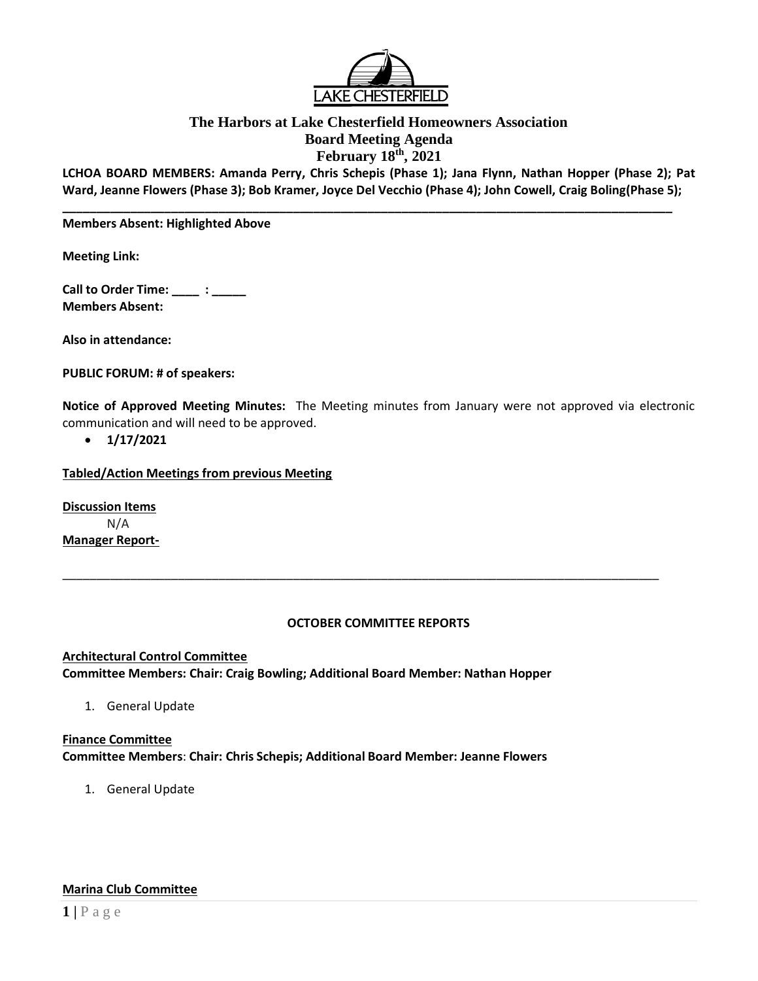

## **The Harbors at Lake Chesterfield Homeowners Association Board Meeting Agenda February 18th , 2021**

**LCHOA BOARD MEMBERS: Amanda Perry, Chris Schepis (Phase 1); Jana Flynn, Nathan Hopper (Phase 2); Pat Ward, Jeanne Flowers (Phase 3); Bob Kramer, Joyce Del Vecchio (Phase 4); John Cowell, Craig Boling(Phase 5);**

**\_\_\_\_\_\_\_\_\_\_\_\_\_\_\_\_\_\_\_\_\_\_\_\_\_\_\_\_\_\_\_\_\_\_\_\_\_\_\_\_\_\_\_\_\_\_\_\_\_\_\_\_\_\_\_\_\_\_\_\_\_\_\_\_\_\_\_\_\_\_\_\_\_\_\_\_\_\_\_\_\_\_\_\_\_\_\_\_\_\_** 

#### **Members Absent: Highlighted Above**

**Meeting Link:**

**Call to Order Time: \_\_\_\_ : \_\_\_\_\_ Members Absent:** 

**Also in attendance:** 

**PUBLIC FORUM: # of speakers:**

**Notice of Approved Meeting Minutes:** The Meeting minutes from January were not approved via electronic communication and will need to be approved.

• **1/17/2021**

**Tabled/Action Meetings from previous Meeting** 

**Discussion Items** N/A **Manager Report-**

#### **OCTOBER COMMITTEE REPORTS**

\_\_\_\_\_\_\_\_\_\_\_\_\_\_\_\_\_\_\_\_\_\_\_\_\_\_\_\_\_\_\_\_\_\_\_\_\_\_\_\_\_\_\_\_\_\_\_\_\_\_\_\_\_\_\_\_\_\_\_\_\_\_\_\_\_\_\_\_\_\_\_\_\_\_\_\_\_\_\_\_\_\_\_\_\_\_\_\_

**Architectural Control Committee Committee Members: Chair: Craig Bowling; Additional Board Member: Nathan Hopper**

1. General Update

### **Finance Committee Committee Members**: **Chair: Chris Schepis; Additional Board Member: Jeanne Flowers**

1. General Update

## **Marina Club Committee**